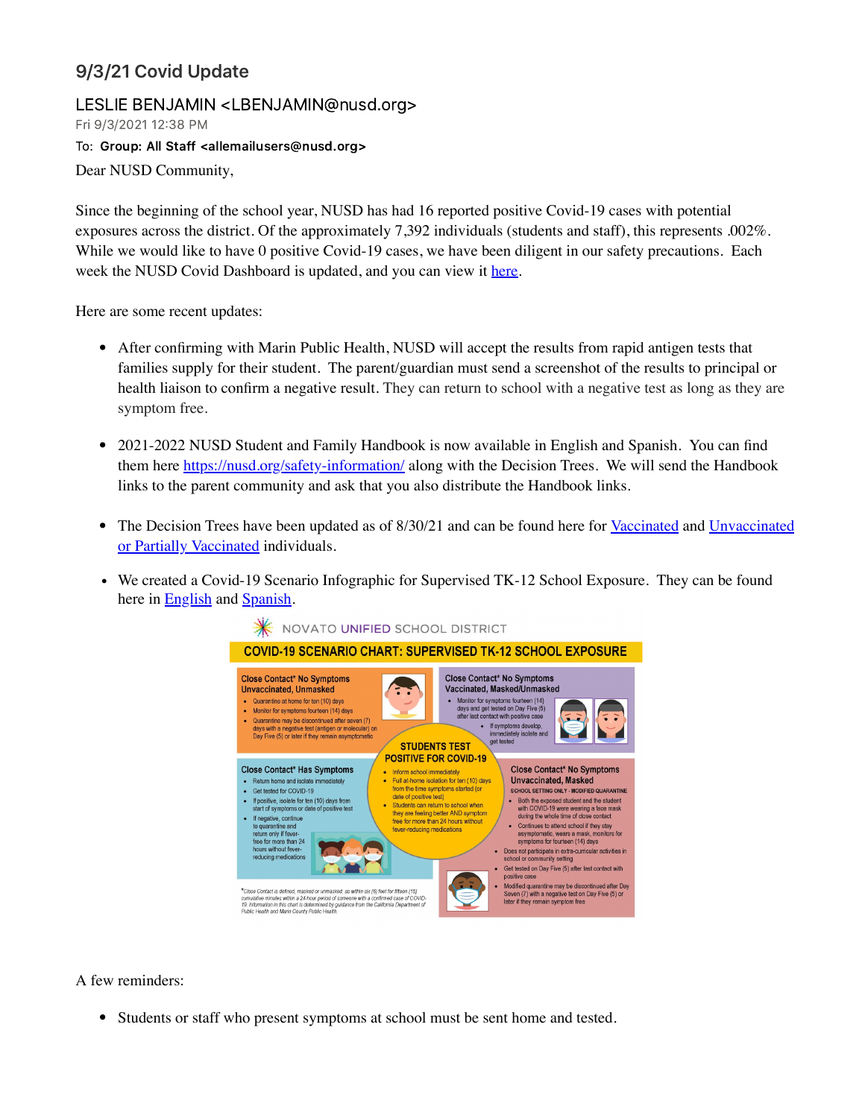## 9/3/21 Covid Update

## LESLIE BENJAMIN <LBENJAMIN@nusd.org>

Fri 9/3/2021 12:38 PM

To: Group: All Staff <allemailusers@nusd.org>

Dear NUSD Community,

Since the beginning of the school year, NUSD has had 16 reported positive Covid-19 cases with potential exposures across the district. Of the approximately 7,392 individuals (students and staff), this represents .002%. While we would like to have 0 positive Covid-19 cases, we have been diligent in our safety precautions. Each week the NUSD Covid Dashboard is updated, and you can view it [here.](https://nusd.org/covid-dashboard/)

Here are some recent updates:

- After confirming with Marin Public Health, NUSD will accept the results from rapid antigen tests that families supply for their student. The parent/guardian must send a screenshot of the results to principal or health liaison to confirm a negative result. They can return to school with a negative test as long as they are symptom free.
- 2021-2022 NUSD Student and Family Handbook is now available in English and Spanish. You can find them here <https://nusd.org/safety-information/> along with the Decision Trees. We will send the Handbook links to the parent community and ask that you also distribute the Handbook links.
- The Decision Trees have been updated as of 8/30/21 and can be found here for [Vaccinated](https://www.marinschools.org/cms/lib/CA01001323/Centricity/Domain/154/MarinCOVID19_SchoolDecisionTree_2021.22_Vaccinated.Eng.Span.8.30.21.pdf) and [Unvaccinated](https://www.marinschools.org/cms/lib/CA01001323/Centricity/Domain/154/MarinCOVID19_SchoolDecisionTree_2021.22_UNVaccinated.Eng.Span.8.30.21.pdf) or Partially Vaccinated individuals.
- We created a Covid-19 Scenario Infographic for Supervised TK-12 School Exposure. They can be found here in **[English](https://nusd.org/wp-content/uploads/2021/09/Student-Close-Contacts.pdf)** and **Spanish**.



A few reminders:

Students or staff who present symptoms at school must be sent home and tested.